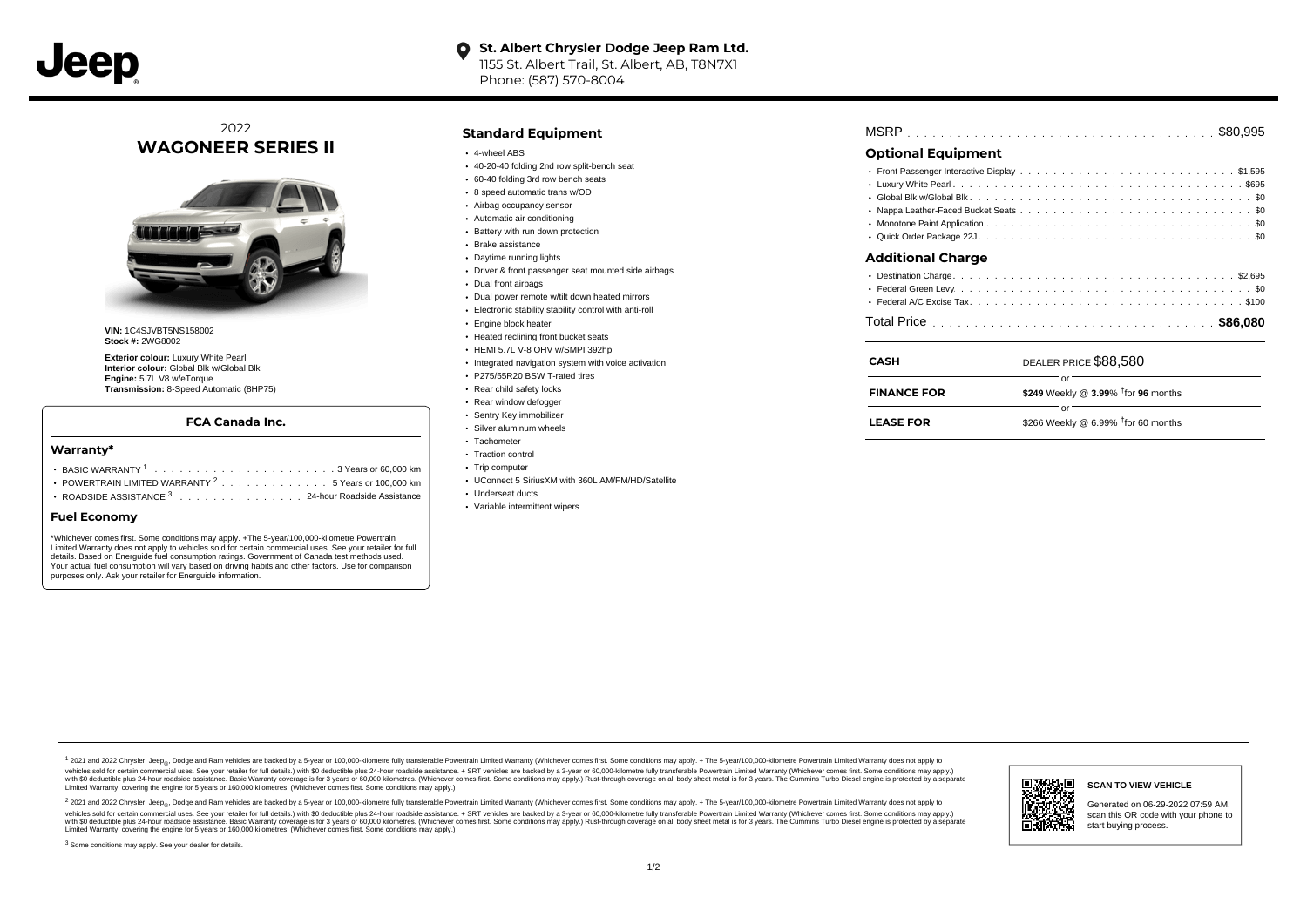

# **O** St. Albert Chrysler Dodge Jeep Ram Ltd. 1155 St. Albert Trail, St. Albert, AB, T8N7X1

Phone: (587) 570-8004

# 2022 **WAGONEER SERIES II**



**VIN:** 1C4SJVBT5NS158002 **Stock #:** 2WG8002

**Exterior colour:** Luxury White Pearl **Interior colour:** Global Blk w/Global Blk **Engine:** 5.7L V8 w/eTorque **Transmission:** 8-Speed Automatic (8HP75)

### **FCA Canada Inc.**

#### **Warranty\***

- . . . . . . . . . . . . . . . . . . . . . . . . . . . . . . . . . . . . . . . . . . . BASIC WARRANTY <sup>1</sup> 3 Years or 60,000 km POWERTRAIN LIMITED WARRANTY  $2 \ldots \ldots \ldots \ldots \ldots 5$  Years or 100,000 km
- ROADSIDE ASSISTANCE 3 . . . . . . . . . . . . . . . 24-hour Roadside Assistance

#### **Fuel Economy**

\*Whichever comes first. Some conditions may apply. +The 5-year/100,000-kilometre Powertrain Limited Warranty does not apply to vehicles sold for certain commercial uses. See your retailer for full details. Based on Energuide fuel consumption ratings. Government of Canada test methods used. Your actual fuel consumption will vary based on driving habits and other factors. Use for comparison purposes only. Ask your retailer for Energuide information.

### **Standard Equipment**

- 4-wheel ABS
- 40-20-40 folding 2nd row split-bench seat
- 60-40 folding 3rd row bench seats
- 8 speed automatic trans w/OD
- Airbag occupancy sensor
- Automatic air conditioning
- Battery with run down protection Brake assistance
- Daytime running lights
- Driver & front passenger seat mounted side airbags
- 
- Dual front airbags
- Dual power remote w/tilt down heated mirrors
- Electronic stability stability control with anti-roll
- **Engine block heater**
- Heated reclining front bucket seats HEMI 5.7L V-8 OHV w/SMPI 392hp
- 
- Integrated navigation system with voice activation
- P275/55R20 BSW T-rated tires
- Rear child safety locks
- Rear window defogger
- Sentry Key immobilizer Silver aluminum wheels
- Tachometer
- Traction control
- Trip computer
- UConnect 5 SiriusXM with 360L AM/FM/HD/Satellite
- Underseat ducts
- Variable intermittent wipers

| $\bigcap_{i=1}^{n}$ |  |
|---------------------|--|
|                     |  |

# **Optional Equipment**

| Additional Charge |  |  |  |  |  |  |  |  |  |  |  |  |  |  |  |
|-------------------|--|--|--|--|--|--|--|--|--|--|--|--|--|--|--|

### **Additional Charge**

| <b>CASH</b>        | DEALER PRICE \$88,580                  |
|--------------------|----------------------------------------|
| <b>FINANCE FOR</b> | \$249 Weekly @ 3.99% $†$ for 96 months |
| <b>LEASE FOR</b>   | \$266 Weekly @ 6.99% $†$ for 60 months |

1 2021 and 2022 Chrysler, Jeep<sub>en</sub> Dodge and Ram vehicles are backed by a 5-year or 100,000-kilometre fully transferable Powertrain Limited Warranty (Whichever comes first. Some conditions may apply. + The 5-year/100,000-k debt of the product of the control and season to the control and the control of the control of the control of the control of the control of the SA-hour madside assistance. + SRT vehicles are backed by a 3-year or 60.00-kil ventals and contract when the contract when the contract you contract when the contract when the control of the set of a set of a set of a set of 3 years of 60,000 kilometres. Whichever comes first. Some conditions may app Limited Warranty, covering the engine for 5 years or 160,000 kilometres. (Whichever comes first. Some conditions may apply.)

2 2021 and 2022 Chrysler, Jeep<sub>es</sub> Dodge and Ram vehicles are backed by a 5-year or 100,000-kilometre fully transferable Powertrain Limited Warranty (Whichever comes first. Some conditions may apply. + The 5-year/100,000-k vehicles sold for certain commercial uses. See your retailer for full details.) with SO deductible plus 24-hour roadside assistance. + SRT vehicles are backed by a 3-year or 60.000-kilometre fully transferable Powertrain L with S0 deductible plus 24-hour roadside assistance. Basic Warranty coverage is for 3 years or 60,000 kilometres. (Whichever comes first. Some conditions may apply.) Rust-through coverage on all body sheet metal is for 3 y



**SCAN TO VIEW VEHICLE**

Generated on 06-29-2022 07:59 AM, scan this QR code with your phone to start buying process.

<sup>3</sup> Some conditions may apply. See your dealer for details.